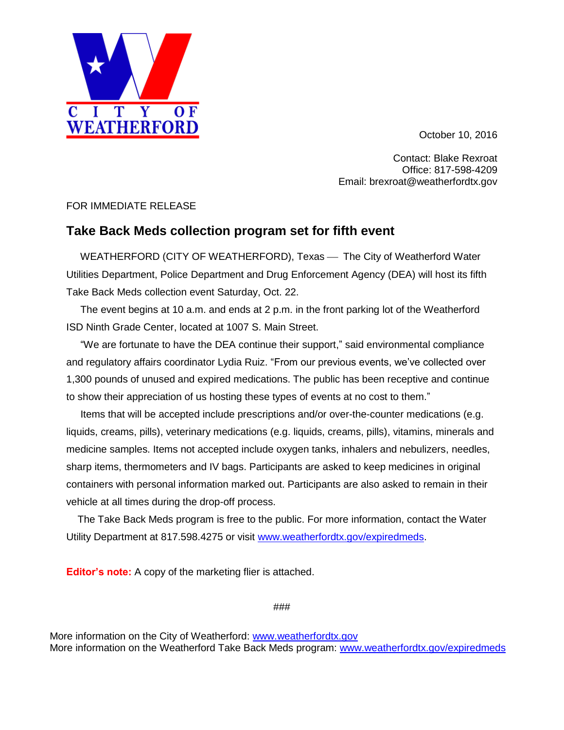October 10, 2016

Contact: Blake Rexroat Office: 817-598-4209 Email: brexroat@weatherfordtx.gov

## FOR IMMEDIATE RELEASE

I T Y

**WEATHERFORD** 

 $\overline{0}$  F

## **Take Back Meds collection program set for fifth event**

WEATHERFORD (CITY OF WEATHERFORD), Texas - The City of Weatherford Water Utilities Department, Police Department and Drug Enforcement Agency (DEA) will host its fifth Take Back Meds collection event Saturday, Oct. 22.

 The event begins at 10 a.m. and ends at 2 p.m. in the front parking lot of the Weatherford ISD Ninth Grade Center, located at 1007 S. Main Street.

 "We are fortunate to have the DEA continue their support," said environmental compliance and regulatory affairs coordinator Lydia Ruiz. "From our previous events, we've collected over 1,300 pounds of unused and expired medications. The public has been receptive and continue to show their appreciation of us hosting these types of events at no cost to them."

 Items that will be accepted include prescriptions and/or over-the-counter medications (e.g. liquids, creams, pills), veterinary medications (e.g. liquids, creams, pills), vitamins, minerals and medicine samples. Items not accepted include oxygen tanks, inhalers and nebulizers, needles, sharp items, thermometers and IV bags. Participants are asked to keep medicines in original containers with personal information marked out. Participants are also asked to remain in their vehicle at all times during the drop-off process.

 The Take Back Meds program is free to the public. For more information, contact the Water Utility Department at 817.598.4275 or visit [www.weatherfordtx.gov/expiredmeds.](http://www.weatherfordtx.gov/expiredmeds)

**Editor's note:** A copy of the marketing flier is attached.

###

More information on the City of Weatherford: [www.weatherfordtx.gov](http://www.weatherfordtx.gov/) More information on the Weatherford Take Back Meds program: [www.weatherfordtx.gov/expiredmeds](http://www.weatherfordtx.gov/expiredmeds)